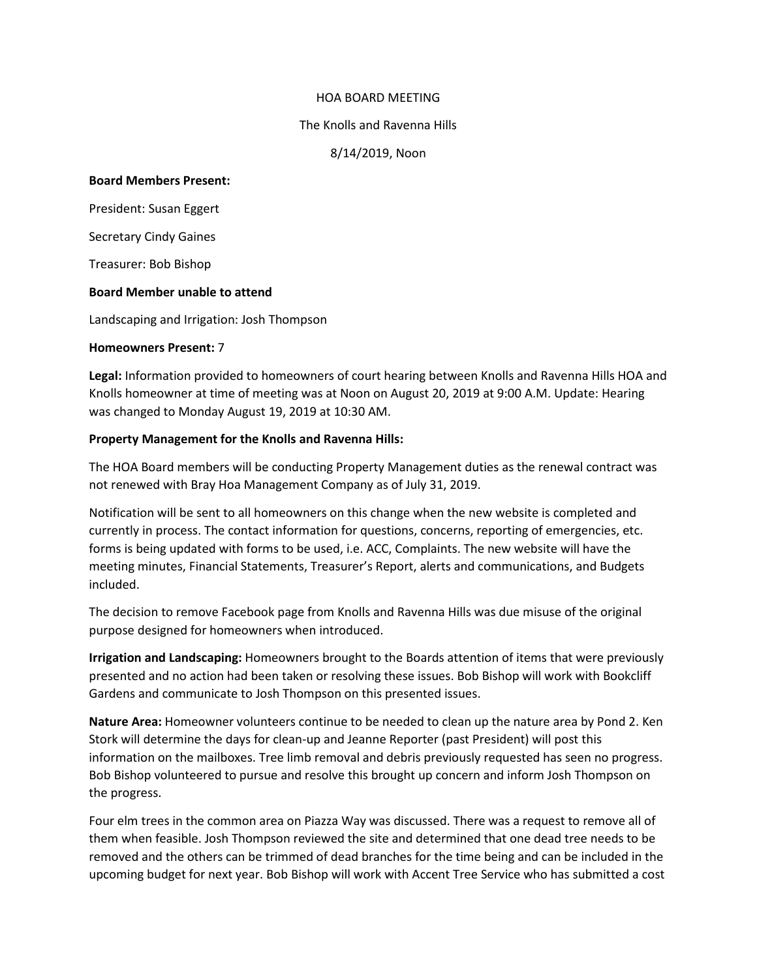#### HOA BOARD MEETING

#### The Knolls and Ravenna Hills

8/14/2019, Noon

### **Board Members Present:**

President: Susan Eggert

Secretary Cindy Gaines

Treasurer: Bob Bishop

## **Board Member unable to attend**

Landscaping and Irrigation: Josh Thompson

#### **Homeowners Present:** 7

**Legal:** Information provided to homeowners of court hearing between Knolls and Ravenna Hills HOA and Knolls homeowner at time of meeting was at Noon on August 20, 2019 at 9:00 A.M. Update: Hearing was changed to Monday August 19, 2019 at 10:30 AM.

## **Property Management for the Knolls and Ravenna Hills:**

The HOA Board members will be conducting Property Management duties as the renewal contract was not renewed with Bray Hoa Management Company as of July 31, 2019.

Notification will be sent to all homeowners on this change when the new website is completed and currently in process. The contact information for questions, concerns, reporting of emergencies, etc. forms is being updated with forms to be used, i.e. ACC, Complaints. The new website will have the meeting minutes, Financial Statements, Treasurer's Report, alerts and communications, and Budgets included.

The decision to remove Facebook page from Knolls and Ravenna Hills was due misuse of the original purpose designed for homeowners when introduced.

**Irrigation and Landscaping:** Homeowners brought to the Boards attention of items that were previously presented and no action had been taken or resolving these issues. Bob Bishop will work with Bookcliff Gardens and communicate to Josh Thompson on this presented issues.

**Nature Area:** Homeowner volunteers continue to be needed to clean up the nature area by Pond 2. Ken Stork will determine the days for clean-up and Jeanne Reporter (past President) will post this information on the mailboxes. Tree limb removal and debris previously requested has seen no progress. Bob Bishop volunteered to pursue and resolve this brought up concern and inform Josh Thompson on the progress.

Four elm trees in the common area on Piazza Way was discussed. There was a request to remove all of them when feasible. Josh Thompson reviewed the site and determined that one dead tree needs to be removed and the others can be trimmed of dead branches for the time being and can be included in the upcoming budget for next year. Bob Bishop will work with Accent Tree Service who has submitted a cost